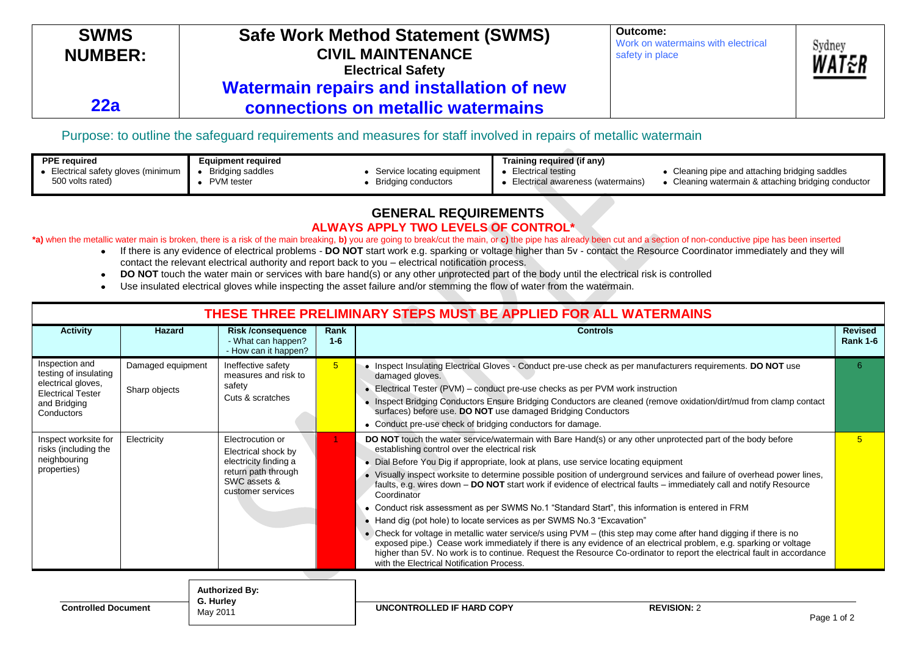| <b>SWMS</b><br><b>NUMBER:</b> | <b>Safe Work Method Statement (SWMS)</b><br><b>CIVIL MAINTENANCE</b><br><b>Electrical Safety</b> | Outcome:<br>Work on watermains with electrical<br>safety in place | Sydney<br>WAT&R |
|-------------------------------|--------------------------------------------------------------------------------------------------|-------------------------------------------------------------------|-----------------|
| 22a                           | Watermain repairs and installation of new<br>connections on metallic watermains                  |                                                                   |                 |

## Purpose: to outline the safeguard requirements and measures for staff involved in repairs of metallic watermain

| <b>PPE required</b>               | Equipment required |                            | Training required (if any)        |                                                   |
|-----------------------------------|--------------------|----------------------------|-----------------------------------|---------------------------------------------------|
| Electrical safety gloves (minimum | Bridging saddles   | Service locating equipment | Electrical testing                | Cleaning pipe and attaching bridging saddles      |
| 500 volts rated)                  | PVM tester         | Bridging conductors        | Electrical awareness (watermains) | Cleaning watermain & attaching bridging conductor |

## **GENERAL REQUIREMENTS ALWAYS APPLY TWO LEVELS OF CONTROL\***

## \*a) when the metallic water main is broken, there is a risk of the main breaking, b) you are going to break/cut the main, or c) the pipe has already been cut and a section of non-conductive pipe has been inserted

- If there is any evidence of electrical problems **DO NOT** start work e.g. sparking or voltage higher than 5v contact the Resource Coordinator immediately and they will contact the relevant electrical authority and report back to you – electrical notification process.
- **DO NOT** touch the water main or services with bare hand(s) or any other unprotected part of the body until the electrical risk is controlled  $\bullet$
- Use insulated electrical gloves while inspecting the asset failure and/or stemming the flow of water from the watermain.  $\bullet$

| THESE THREE PRELIMINARY STEPS MUST BE APPLIED FOR ALL WATERMAINS                                                        |                                    |                                                                                                                              |                 |                                                                                                                                                                                                                                                                                                                                                                                                                                                                                                                                                                                                                                                                                                                                                                                                                                                                                                                                                                                                                                                                                                                           |                                   |
|-------------------------------------------------------------------------------------------------------------------------|------------------------------------|------------------------------------------------------------------------------------------------------------------------------|-----------------|---------------------------------------------------------------------------------------------------------------------------------------------------------------------------------------------------------------------------------------------------------------------------------------------------------------------------------------------------------------------------------------------------------------------------------------------------------------------------------------------------------------------------------------------------------------------------------------------------------------------------------------------------------------------------------------------------------------------------------------------------------------------------------------------------------------------------------------------------------------------------------------------------------------------------------------------------------------------------------------------------------------------------------------------------------------------------------------------------------------------------|-----------------------------------|
| <b>Activity</b>                                                                                                         | Hazard                             | <b>Risk /consequence</b><br>- What can happen?<br>- How can it happen?                                                       | Rank<br>$1 - 6$ | <b>Controls</b>                                                                                                                                                                                                                                                                                                                                                                                                                                                                                                                                                                                                                                                                                                                                                                                                                                                                                                                                                                                                                                                                                                           | <b>Revised</b><br><b>Rank 1-6</b> |
| Inspection and<br>testing of insulating<br>electrical gloves,<br><b>Electrical Tester</b><br>and Bridging<br>Conductors | Damaged equipment<br>Sharp objects | Ineffective safety<br>measures and risk to<br>safety<br>Cuts & scratches                                                     | 5 <sup>1</sup>  | • Inspect Insulating Electrical Gloves - Conduct pre-use check as per manufacturers requirements. DO NOT use<br>damaged gloves.<br>• Electrical Tester (PVM) – conduct pre-use checks as per PVM work instruction<br>• Inspect Bridging Conductors Ensure Bridging Conductors are cleaned (remove oxidation/dirt/mud from clamp contact<br>surfaces) before use. DO NOT use damaged Bridging Conductors<br>• Conduct pre-use check of bridging conductors for damage.                                                                                                                                                                                                                                                                                                                                                                                                                                                                                                                                                                                                                                                     | 6                                 |
| Inspect worksite for<br>risks (including the<br>neighbouring<br>properties)                                             | Electricity                        | Electrocution or<br>Electrical shock by<br>electricity finding a<br>return path through<br>SWC assets &<br>customer services |                 | DO NOT touch the water service/watermain with Bare Hand(s) or any other unprotected part of the body before<br>establishing control over the electrical risk<br>• Dial Before You Dig if appropriate, look at plans, use service locating equipment<br>Visually inspect worksite to determine possible position of underground services and failure of overhead power lines,<br>faults, e.g. wires down – DO NOT start work if evidence of electrical faults – immediately call and notify Resource<br>Coordinator<br>• Conduct risk assessment as per SWMS No.1 "Standard Start", this information is entered in FRM<br>Hand dig (pot hole) to locate services as per SWMS No.3 "Excavation"<br>Check for voltage in metallic water service/s using PVM - (this step may come after hand digging if there is no<br>$\bullet$<br>exposed pipe.) Cease work immediately if there is any evidence of an electrical problem, e.g. sparking or voltage<br>higher than 5V. No work is to continue. Request the Resource Co-ordinator to report the electrical fault in accordance<br>with the Electrical Notification Process. | 5                                 |

| <b>Controlled Document</b> | <b>Authorized By:</b><br>G. Hurley<br>May 2011 | ONTROLLED IF HARD COPY | <b>REVISION: 2</b> | Page 1 of |
|----------------------------|------------------------------------------------|------------------------|--------------------|-----------|
|----------------------------|------------------------------------------------|------------------------|--------------------|-----------|